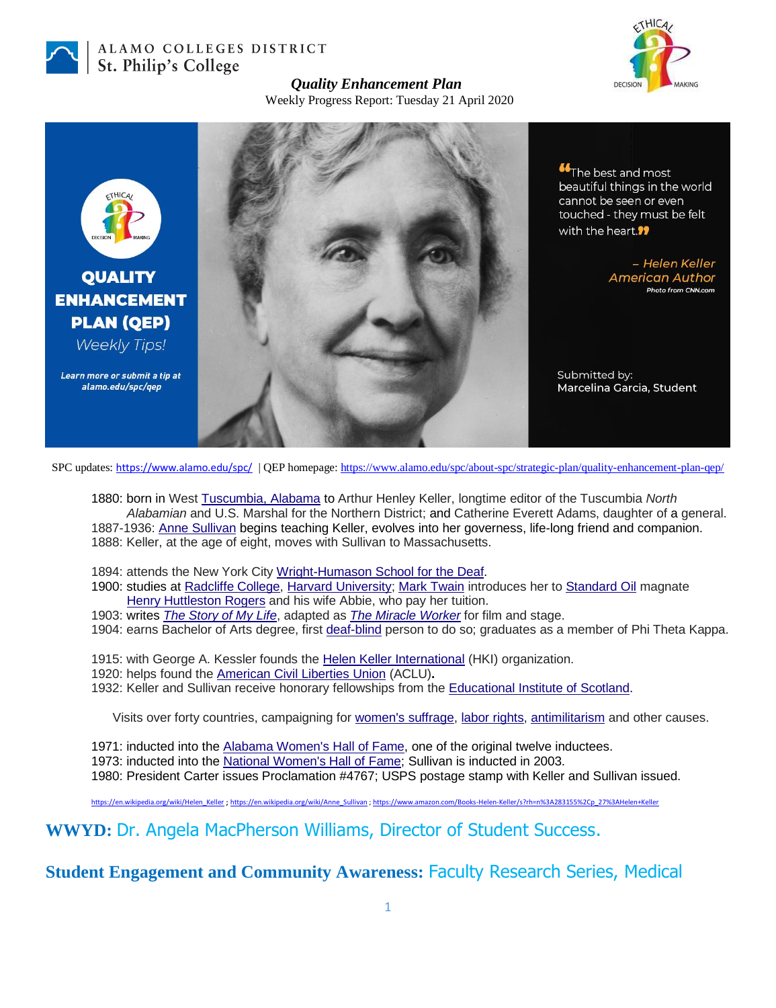

## ALAMO COLLEGES DISTRICT St. Philip's College



## *Quality Enhancement Plan*

Weekly Progress Report: Tuesday 21 April 2020



**Controller The best and most** beautiful things in the world cannot be seen or even touched - they must be felt with the heart.<sup>99</sup>

> - Helen Keller **American Author Photo from CNN.com**

Submitted by: Marcelina Garcia, Student

SPC updates: <https://www.alamo.edu/spc/> | QEP homepage[: https://www.alamo.edu/spc/about-spc/strategic-plan/quality-enhancement-plan-qep/](https://www.alamo.edu/spc/about-spc/strategic-plan/quality-enhancement-plan-qep/)

1880: born in West [Tuscumbia, Alabama](https://en.wikipedia.org/wiki/Tuscumbia,_Alabama) to Arthur Henley Keller, longtime editor of the Tuscumbia *North Alabamian* and U.S. Marshal for the Northern District; and Catherine Everett Adams, daughter of a general. 1887-1936: [Anne Sullivan](https://en.wikipedia.org/wiki/Anne_Sullivan) begins teaching Keller, evolves into her governess, life-long friend and companion. 1888: Keller, at the age of eight, moves with Sullivan to Massachusetts.

- 1894: attends the New York City [Wright-Humason School for the Deaf.](https://en.wikipedia.org/wiki/Wright-Humason_School_for_the_Deaf)
- 1900: studies at [Radcliffe College,](https://en.wikipedia.org/wiki/Radcliffe_College) [Harvard University;](https://en.wikipedia.org/wiki/Harvard_University) [Mark Twain](https://en.wikipedia.org/wiki/Mark_Twain) introduces her to [Standard](https://en.wikipedia.org/wiki/Standard_Oil) Oil magnate [Henry Huttleston Rogers](https://en.wikipedia.org/wiki/Henry_H._Rogers) and his wife Abbie, who pay her tuition.
- 1903: writes *[The Story of My Life](https://en.wikipedia.org/wiki/The_Story_of_My_Life_(biography))*, adapted as *[The Miracle Worker](https://en.wikipedia.org/wiki/The_Miracle_Worker)* for film and stage.
- 1904: earns Bachelor of Arts degree, first [deaf-blind](https://en.wikipedia.org/wiki/Deaf-blindness) person to do so; graduates as a member of Phi Theta Kappa.
- 1915: with George A. Kessler founds the [Helen Keller International](https://en.wikipedia.org/wiki/Helen_Keller_International) (HKI) organization.
- 1920: helps found the [American Civil Liberties Union](https://en.wikipedia.org/wiki/American_Civil_Liberties_Union) (ACLU)**.**
- 1932: Keller and Sullivan receive honorary fellowships from the [Educational Institute of Scotland.](https://en.wikipedia.org/wiki/Educational_Institute_of_Scotland)

Visits over forty countries, campaigning for [women's suffrage,](https://en.wikipedia.org/wiki/Women%27s_suffrage) [labor rights,](https://en.wikipedia.org/wiki/Labor_rights) [antimilitarism](https://en.wikipedia.org/wiki/Antimilitarism) and other causes.

1971: inducted into the [Alabama Women's Hall of Fame,](https://en.wikipedia.org/wiki/Alabama_Women%27s_Hall_of_Fame) one of the original twelve inductees.

1973: inducted into the [National Women's Hall of Fame;](https://en.wikipedia.org/wiki/National_Women%27s_Hall_of_Fame) Sullivan is inducted in 2003.

1980: President Carter issues Proclamation #4767; USPS postage stamp with Keller and Sullivan issued.

[https://en.wikipedia.org/wiki/Helen\\_Keller](https://en.wikipedia.org/wiki/Helen_Keller) ; [https://en.wikipedia.org/wiki/Anne\\_Sullivan](https://en.wikipedia.org/wiki/Anne_Sullivan) [; https://www.amazon.com/Books-Helen-Keller/s?rh=n%3A283155%2Cp\\_27%3AHelen+Keller](https://www.amazon.com/Books-Helen-Keller/s?rh=n%3A283155%2Cp_27%3AHelen+Keller)

**WWYD:** Dr. Angela MacPherson Williams, Director of Student Success.

**Student Engagement and Community Awareness:** Faculty Research Series, Medical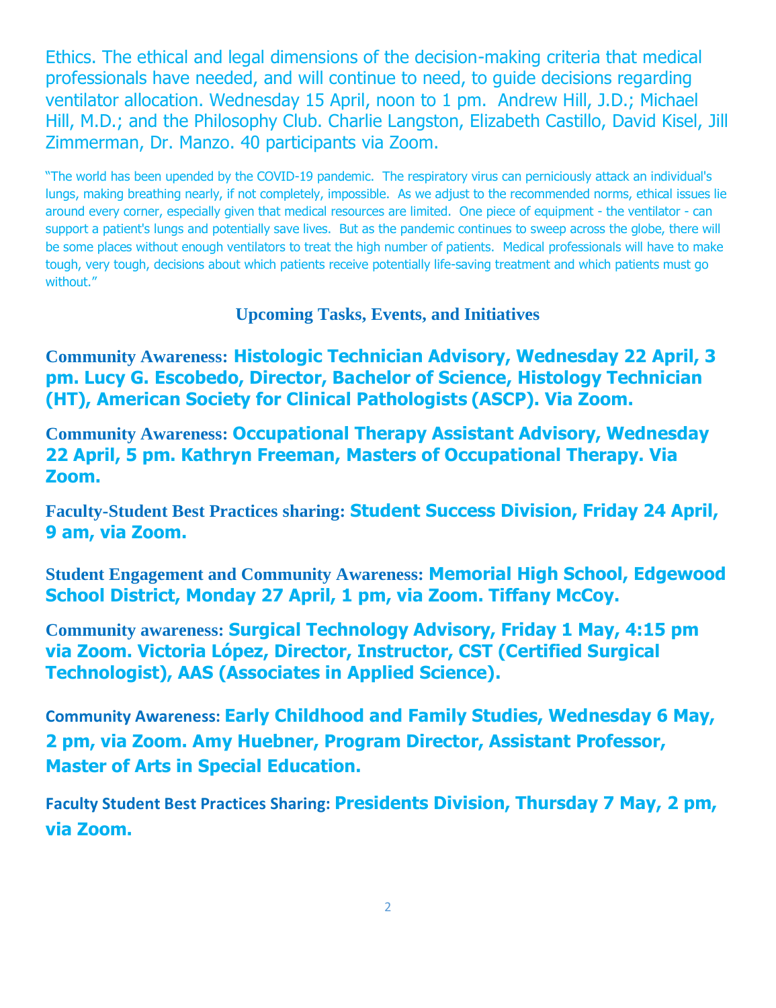Ethics. The ethical and legal dimensions of the decision-making criteria that medical professionals have needed, and will continue to need, to guide decisions regarding ventilator allocation. Wednesday 15 April, noon to 1 pm. Andrew Hill, J.D.; Michael Hill, M.D.; and the Philosophy Club. Charlie Langston, Elizabeth Castillo, David Kisel, Jill Zimmerman, Dr. Manzo. 40 participants via Zoom.

"The world has been upended by the COVID-19 pandemic. The respiratory virus can perniciously attack an individual's lungs, making breathing nearly, if not completely, impossible. As we adjust to the recommended norms, ethical issues lie around every corner, especially given that medical resources are limited. One piece of equipment - the ventilator - can support a patient's lungs and potentially save lives. But as the pandemic continues to sweep across the globe, there will be some places without enough ventilators to treat the high number of patients. Medical professionals will have to make tough, very tough, decisions about which patients receive potentially life-saving treatment and which patients must go without."

**Upcoming Tasks, Events, and Initiatives**

**Community Awareness: Histologic Technician Advisory, Wednesday 22 April, 3 pm. Lucy G. Escobedo, Director, Bachelor of Science, Histology Technician (HT), American Society for Clinical Pathologists (ASCP). Via Zoom.**

**Community Awareness: Occupational Therapy Assistant Advisory, Wednesday 22 April, 5 pm. Kathryn Freeman, Masters of Occupational Therapy. Via Zoom.**

**Faculty-Student Best Practices sharing: Student Success Division, Friday 24 April, 9 am, via Zoom.**

**Student Engagement and Community Awareness: Memorial High School, Edgewood School District, Monday 27 April, 1 pm, via Zoom. Tiffany McCoy.**

**Community awareness: Surgical Technology Advisory, Friday 1 May, 4:15 pm via Zoom. Victoria López, Director, Instructor, CST (Certified Surgical Technologist), AAS (Associates in Applied Science).**

**Community Awareness: Early Childhood and Family Studies, Wednesday 6 May, 2 pm, via Zoom. Amy Huebner, Program Director, Assistant Professor, Master of Arts in Special Education.**

**Faculty Student Best Practices Sharing: Presidents Division, Thursday 7 May, 2 pm, via Zoom.**